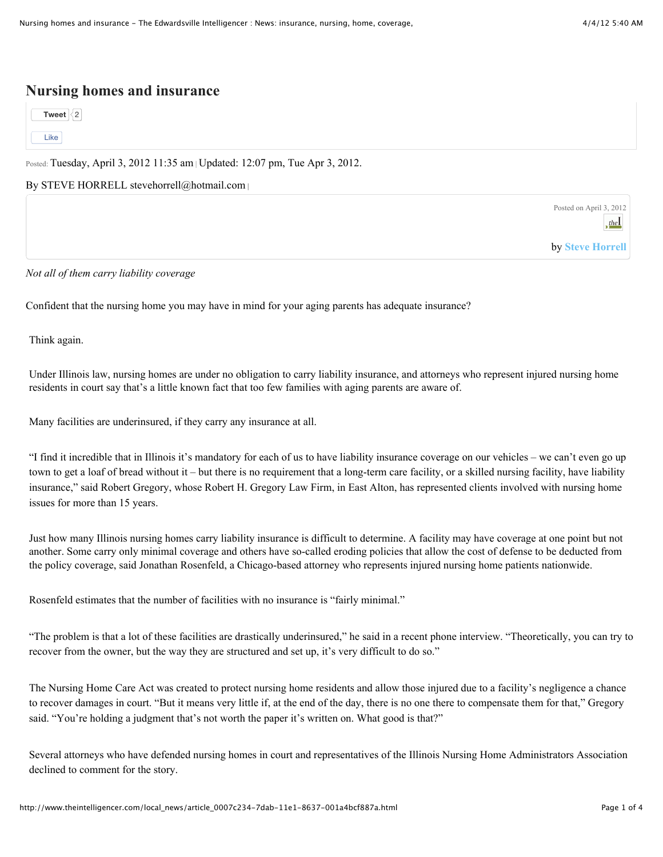## **Nursing homes and insurance**

**[Tweet](https://twitter.com/intent/tweet?original_referer=http%3A%2F%2Fwww.theintelligencer.com%2Flocal_news%2Farticle_0007c234-7dab-11e1-8637-001a4bcf887a.html&related=theEdwi%2Ctownnews&source=tweetbutton&text=Nursing%20homes%20and%20insurance&url=http%3A%2F%2Fwww.theintelligencer.com%2Flocal_news%2Farticle_0007c234-7dab-11e1-8637-001a4bcf887a.html%23.T3wWpPpQMM8.twitter&via=theEdwi)**  $\frac{2}{2}$  $\frac{2}{2}$  $\frac{2}{2}$ [Like](http://www.theintelligencer.com/content/tncms/live/#)

Posted: Tuesday, April 3, 2012 11:35 am | Updated: 12:07 pm, Tue Apr 3, 2012.

By STEVE HORRELL [stevehorrell@hotmail.com](mailto:stevehorrell@hotmail.com) **|**

Posted on April 3, 2012 the

by **[Steve Horrell](http://www.theintelligencer.com/users/profile/shorrell)**

*Not all of them carry liability coverage*

Confident that the nursing home you may have in mind for your aging parents has adequate insurance?

Think again.

Under Illinois law, nursing homes are under no obligation to carry liability insurance, and attorneys who represent injured nursing home residents in court say that's a little known fact that too few families with aging parents are aware of.

Many facilities are underinsured, if they carry any insurance at all.

"I find it incredible that in Illinois it's mandatory for each of us to have liability insurance coverage on our vehicles – we can't even go up town to get a loaf of bread without it – but there is no requirement that a long-term care facility, or a skilled nursing facility, have liability insurance," said Robert Gregory, whose Robert H. Gregory Law Firm, in East Alton, has represented clients involved with nursing home issues for more than 15 years.

Just how many Illinois nursing homes carry liability insurance is difficult to determine. A facility may have coverage at one point but not another. Some carry only minimal coverage and others have so-called eroding policies that allow the cost of defense to be deducted from the policy coverage, said Jonathan Rosenfeld, a Chicago-based attorney who represents injured nursing home patients nationwide.

Rosenfeld estimates that the number of facilities with no insurance is "fairly minimal."

"The problem is that a lot of these facilities are drastically underinsured," he said in a recent phone interview. "Theoretically, you can try to recover from the owner, but the way they are structured and set up, it's very difficult to do so."

The Nursing Home Care Act was created to protect nursing home residents and allow those injured due to a facility's negligence a chance to recover damages in court. "But it means very little if, at the end of the day, there is no one there to compensate them for that," Gregory said. "You're holding a judgment that's not worth the paper it's written on. What good is that?"

Several attorneys who have defended nursing homes in court and representatives of the Illinois Nursing Home Administrators Association declined to comment for the story.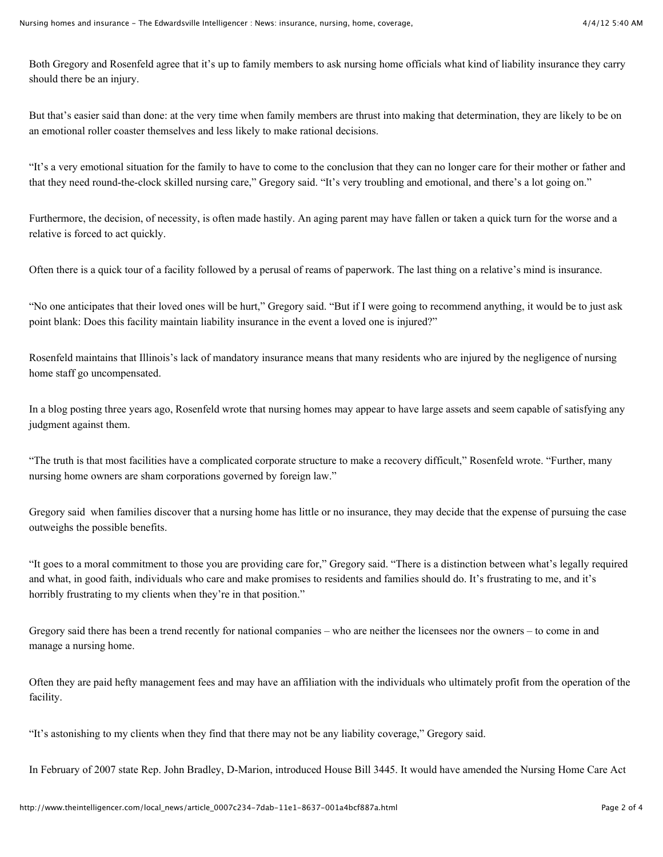Both Gregory and Rosenfeld agree that it's up to family members to ask nursing home officials what kind of liability insurance they carry should there be an injury.

But that's easier said than done: at the very time when family members are thrust into making that determination, they are likely to be on an emotional roller coaster themselves and less likely to make rational decisions.

"It's a very emotional situation for the family to have to come to the conclusion that they can no longer care for their mother or father and that they need round-the-clock skilled nursing care," Gregory said. "It's very troubling and emotional, and there's a lot going on."

Furthermore, the decision, of necessity, is often made hastily. An aging parent may have fallen or taken a quick turn for the worse and a relative is forced to act quickly.

Often there is a quick tour of a facility followed by a perusal of reams of paperwork. The last thing on a relative's mind is insurance.

"No one anticipates that their loved ones will be hurt," Gregory said. "But if I were going to recommend anything, it would be to just ask point blank: Does this facility maintain liability insurance in the event a loved one is injured?"

Rosenfeld maintains that Illinois's lack of mandatory insurance means that many residents who are injured by the negligence of nursing home staff go uncompensated.

In a blog posting three years ago, Rosenfeld wrote that nursing homes may appear to have large assets and seem capable of satisfying any judgment against them.

"The truth is that most facilities have a complicated corporate structure to make a recovery difficult," Rosenfeld wrote. "Further, many nursing home owners are sham corporations governed by foreign law."

Gregory said when families discover that a nursing home has little or no insurance, they may decide that the expense of pursuing the case outweighs the possible benefits.

"It goes to a moral commitment to those you are providing care for," Gregory said. "There is a distinction between what's legally required and what, in good faith, individuals who care and make promises to residents and families should do. It's frustrating to me, and it's horribly frustrating to my clients when they're in that position."

Gregory said there has been a trend recently for national companies – who are neither the licensees nor the owners – to come in and manage a nursing home.

Often they are paid hefty management fees and may have an affiliation with the individuals who ultimately profit from the operation of the facility.

"It's astonishing to my clients when they find that there may not be any liability coverage," Gregory said.

In February of 2007 state Rep. John Bradley, D-Marion, introduced House Bill 3445. It would have amended the Nursing Home Care Act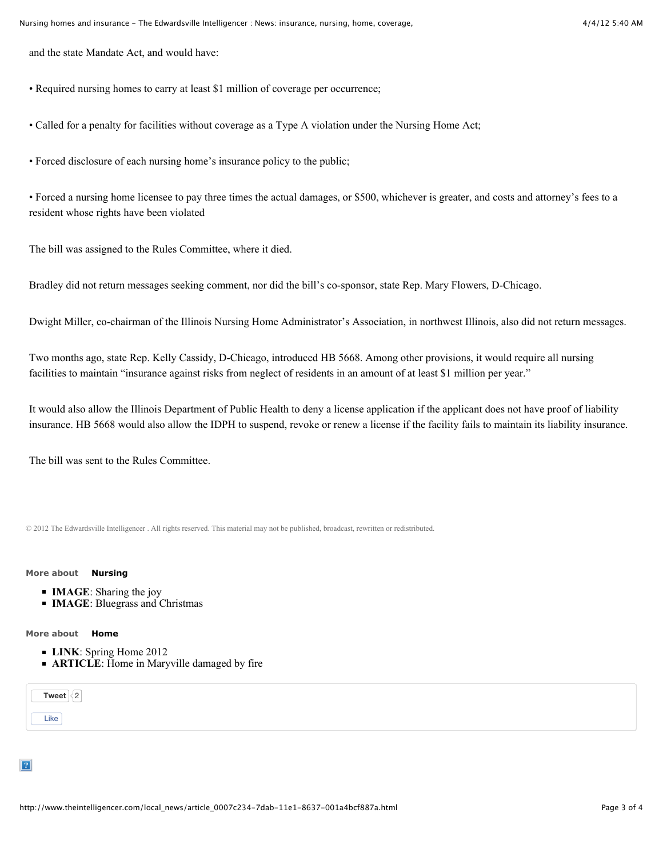and the state Mandate Act, and would have:

- Required nursing homes to carry at least \$1 million of coverage per occurrence;
- Called for a penalty for facilities without coverage as a Type A violation under the Nursing Home Act;
- Forced disclosure of each nursing home's insurance policy to the public;

• Forced a nursing home licensee to pay three times the actual damages, or \$500, whichever is greater, and costs and attorney's fees to a resident whose rights have been violated

The bill was assigned to the Rules Committee, where it died.

Bradley did not return messages seeking comment, nor did the bill's co-sponsor, state Rep. Mary Flowers, D-Chicago.

Dwight Miller, co-chairman of the Illinois Nursing Home Administrator's Association, in northwest Illinois, also did not return messages.

Two months ago, state Rep. Kelly Cassidy, D-Chicago, introduced HB 5668. Among other provisions, it would require all nursing facilities to maintain "insurance against risks from neglect of residents in an amount of at least \$1 million per year."

It would also allow the Illinois Department of Public Health to deny a license application if the applicant does not have proof of liability insurance. HB 5668 would also allow the IDPH to suspend, revoke or renew a license if the facility fails to maintain its liability insurance.

The bill was sent to the Rules Committee.

[© 2012 The Edwardsville Intelligencer . All rights reserved. This material may not be published, broadcast, rewritten or redistributed.](http://www.theintelligencer.com/site/terms/)

## **More about [Nursing](http://www.theintelligencer.com/topic/?q=nursing&t=&l=25&d=&d1=&d2=&f=html&s=&sd=desc&s=start_time)**

- **IMAGE**: [Sharing the joy](http://www.theintelligencer.com/local_news/image_2b4c42f2-25af-11e1-b34e-0019bb2963f4.html)
- **IMAGE:** [Bluegrass and Christmas](http://www.theintelligencer.com/local_news/image_d7f37ad6-25ad-11e1-b537-0019bb2963f4.html)

## **More about [Home](http://www.theintelligencer.com/topic/?q=home&t=&l=25&d=&d1=&d2=&f=html&s=&sd=desc&s=start_time)**

- **LINK**: [Spring Home 2012](http://issuu.com/edwpub/docs/spring_home-2012?mode=window&backgroundColor=%23222222)
- **ARTICLE**: [Home in Maryville damaged by fire](http://www.theintelligencer.com/local_news/article_601adce6-4841-11e1-bb66-0019bb2963f4.html)

[Like](http://www.theintelligencer.com/content/tncms/live/#)

**[Tweet](https://twitter.com/intent/tweet?original_referer=http%3A%2F%2Fwww.theintelligencer.com%2Flocal_news%2Farticle_0007c234-7dab-11e1-8637-001a4bcf887a.html&related=theEdwi%2Ctownnews&source=tweetbutton&text=Nursing%20homes%20and%20insurance&url=http%3A%2F%2Fwww.theintelligencer.com%2Flocal_news%2Farticle_0007c234-7dab-11e1-8637-001a4bcf887a.html%23.T3wWpPrkWgo.twitter&via=theEdwi)**  $\sqrt{2}$  $\sqrt{2}$  $\sqrt{2}$